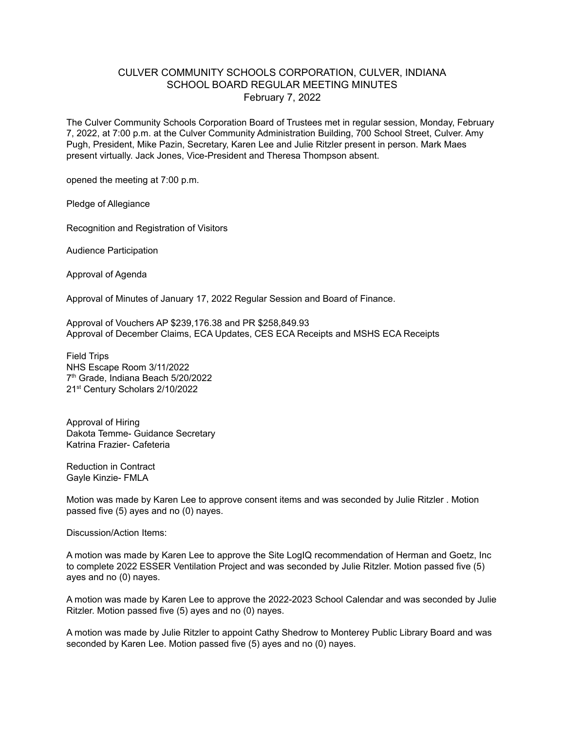## CULVER COMMUNITY SCHOOLS CORPORATION, CULVER, INDIANA SCHOOL BOARD REGULAR MEETING MINUTES February 7, 2022

The Culver Community Schools Corporation Board of Trustees met in regular session, Monday, February 7, 2022, at 7:00 p.m. at the Culver Community Administration Building, 700 School Street, Culver. Amy Pugh, President, Mike Pazin, Secretary, Karen Lee and Julie Ritzler present in person. Mark Maes present virtually. Jack Jones, Vice-President and Theresa Thompson absent.

opened the meeting at 7:00 p.m.

Pledge of Allegiance

Recognition and Registration of Visitors

Audience Participation

Approval of Agenda

Approval of Minutes of January 17, 2022 Regular Session and Board of Finance.

Approval of Vouchers AP \$239,176.38 and PR \$258,849.93 Approval of December Claims, ECA Updates, CES ECA Receipts and MSHS ECA Receipts

Field Trips NHS Escape Room 3/11/2022 7 th Grade, Indiana Beach 5/20/2022 21<sup>st</sup> Century Scholars 2/10/2022

Approval of Hiring Dakota Temme- Guidance Secretary Katrina Frazier- Cafeteria

Reduction in Contract Gayle Kinzie- FMLA

Motion was made by Karen Lee to approve consent items and was seconded by Julie Ritzler . Motion passed five (5) ayes and no (0) nayes.

Discussion/Action Items:

A motion was made by Karen Lee to approve the Site LogIQ recommendation of Herman and Goetz, Inc to complete 2022 ESSER Ventilation Project and was seconded by Julie Ritzler. Motion passed five (5) ayes and no (0) nayes.

A motion was made by Karen Lee to approve the 2022-2023 School Calendar and was seconded by Julie Ritzler. Motion passed five (5) ayes and no (0) nayes.

A motion was made by Julie Ritzler to appoint Cathy Shedrow to Monterey Public Library Board and was seconded by Karen Lee. Motion passed five (5) ayes and no (0) nayes.